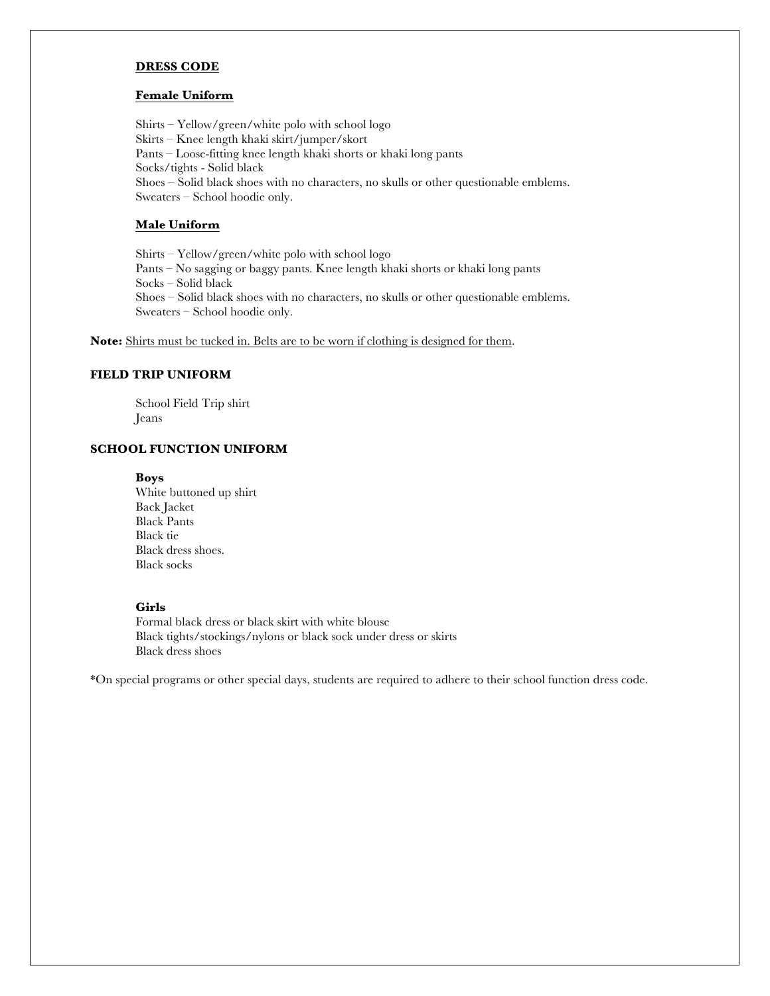#### **DRESS CODE**

#### **Female Uniform**

Shirts – Yellow/green/white polo with school logo Skirts – Knee length khaki skirt/jumper/skort Pants – Loose-fitting knee length khaki shorts or khaki long pants Socks/tights - Solid black Shoes – Solid black shoes with no characters, no skulls or other questionable emblems. Sweaters – School hoodie only.

## **Male Uniform**

Shirts – Yellow/green/white polo with school logo Pants – No sagging or baggy pants. Knee length khaki shorts or khaki long pants Socks – Solid black Shoes – Solid black shoes with no characters, no skulls or other questionable emblems. Sweaters – School hoodie only.

**Note:** Shirts must be tucked in. Belts are to be worn if clothing is designed for them.

# **FIELD TRIP UNIFORM**

School Field Trip shirt Jeans

### **SCHOOL FUNCTION UNIFORM**

#### **Boys**

White buttoned up shirt Back Jacket Black Pants Black tie Black dress shoes. Black socks

### **Girls**

Formal black dress or black skirt with white blouse Black tights/stockings/nylons or black sock under dress or skirts Black dress shoes

\*On special programs or other special days, students are required to adhere to their school function dress code.